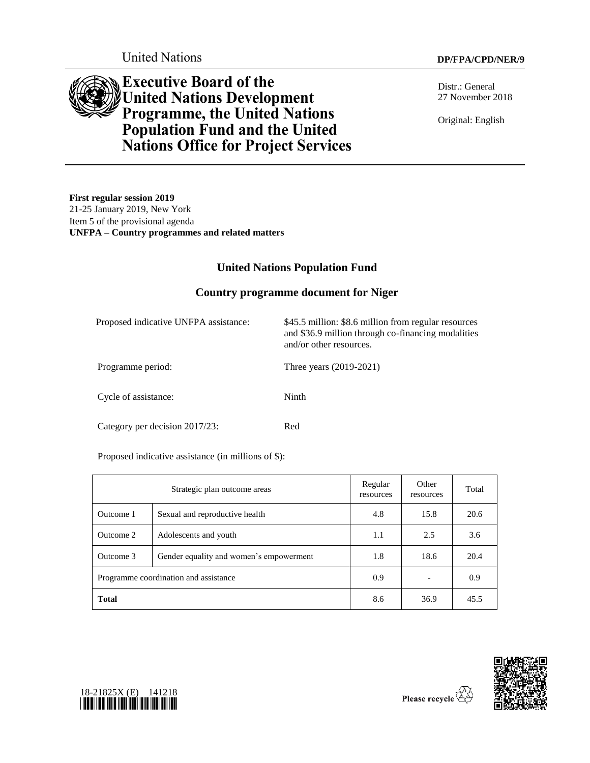

Distr.: General 27 November 2018

Original: English

**Executive Board of the United Nations Development Programme, the United Nations Population Fund and the United Nations Office for Project Services**

**First regular session 2019** 21-25 January 2019, New York Item 5 of the provisional agenda **UNFPA – Country programmes and related matters**

# **United Nations Population Fund**

### **Country programme document for Niger**

| Proposed indicative UNFPA assistance: | \$45.5 million: \$8.6 million from regular resources<br>and \$36.9 million through co-financing modalities<br>and/or other resources. |
|---------------------------------------|---------------------------------------------------------------------------------------------------------------------------------------|
| Programme period:                     | Three years (2019-2021)                                                                                                               |
| Cycle of assistance:                  | Ninth                                                                                                                                 |
| Category per decision 2017/23:        | Red                                                                                                                                   |

Proposed indicative assistance (in millions of \$):

| Strategic plan outcome areas          |                                         | Regular<br>resources | Other<br>resources | Total |
|---------------------------------------|-----------------------------------------|----------------------|--------------------|-------|
| Outcome 1                             | Sexual and reproductive health          | 4.8                  | 15.8               | 20.6  |
| Outcome 2                             | Adolescents and youth                   | 1.1                  | 2.5                | 3.6   |
| Outcome 3                             | Gender equality and women's empowerment | 1.8                  | 18.6               | 20.4  |
| Programme coordination and assistance |                                         | 0.9                  |                    | 0.9   |
| <b>Total</b>                          |                                         | 8.6                  | 36.9               | 45.5  |



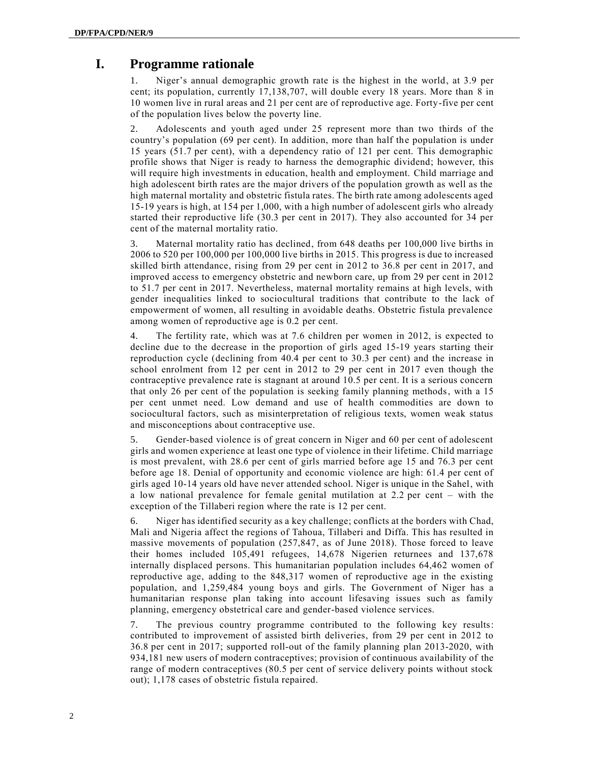# **I. Programme rationale**

1. Niger's annual demographic growth rate is the highest in the world, at 3.9 per cent; its population, currently 17,138,707, will double every 18 years. More than 8 in 10 women live in rural areas and 21 per cent are of reproductive age. Forty-five per cent of the population lives below the poverty line.

2. Adolescents and youth aged under 25 represent more than two thirds of the country's population (69 per cent). In addition, more than half the population is under 15 years (51.7 per cent), with a dependency ratio of 121 per cent. This demographic profile shows that Niger is ready to harness the demographic dividend; however, this will require high investments in education, health and employment. Child marriage and high adolescent birth rates are the major drivers of the population growth as well as the high maternal mortality and obstetric fistula rates. The birth rate among adolescents aged 15-19 years is high, at 154 per 1,000, with a high number of adolescent girls who already started their reproductive life (30.3 per cent in 2017). They also accounted for 34 per cent of the maternal mortality ratio.

3. Maternal mortality ratio has declined, from 648 deaths per 100,000 live births in 2006 to 520 per 100,000 per 100,000 live births in 2015. This progress is due to increased skilled birth attendance, rising from 29 per cent in 2012 to 36.8 per cent in 2017, and improved access to emergency obstetric and newborn care, up from 29 per cent in 2012 to 51.7 per cent in 2017. Nevertheless, maternal mortality remains at high levels, with gender inequalities linked to sociocultural traditions that contribute to the lack of empowerment of women, all resulting in avoidable deaths. Obstetric fistula prevalence among women of reproductive age is 0.2 per cent.

4. The fertility rate, which was at 7.6 children per women in 2012, is expected to decline due to the decrease in the proportion of girls aged 15-19 years starting their reproduction cycle (declining from 40.4 per cent to 30.3 per cent) and the increase in school enrolment from 12 per cent in 2012 to 29 per cent in 2017 even though the contraceptive prevalence rate is stagnant at around 10.5 per cent. It is a serious concern that only 26 per cent of the population is seeking family planning methods, with a 15 per cent unmet need. Low demand and use of health commodities are down to sociocultural factors, such as misinterpretation of religious texts, women weak status and misconceptions about contraceptive use.

5. Gender-based violence is of great concern in Niger and 60 per cent of adolescent girls and women experience at least one type of violence in their lifetime. Child marriage is most prevalent, with 28.6 per cent of girls married before age 15 and 76.3 per cent before age 18. Denial of opportunity and economic violence are high: 61.4 per cent of girls aged 10-14 years old have never attended school. Niger is unique in the Sahel, with a low national prevalence for female genital mutilation at 2.2 per cent – with the exception of the Tillaberi region where the rate is 12 per cent.

Niger has identified security as a key challenge; conflicts at the borders with Chad, Mali and Nigeria affect the regions of Tahoua, Tillaberi and Diffa. This has resulted in massive movements of population (257,847, as of June 2018). Those forced to leave their homes included 105,491 refugees, 14,678 Nigerien returnees and 137,678 internally displaced persons. This humanitarian population includes 64,462 women of reproductive age, adding to the 848,317 women of reproductive age in the existing population, and 1,259,484 young boys and girls. The Government of Niger has a humanitarian response plan taking into account lifesaving issues such as family planning, emergency obstetrical care and gender-based violence services.

7. The previous country programme contributed to the following key results: contributed to improvement of assisted birth deliveries, from 29 per cent in 2012 to 36.8 per cent in 2017; supported roll-out of the family planning plan 2013-2020, with 934,181 new users of modern contraceptives; provision of continuous availability of the range of modern contraceptives (80.5 per cent of service delivery points without stock out); 1,178 cases of obstetric fistula repaired.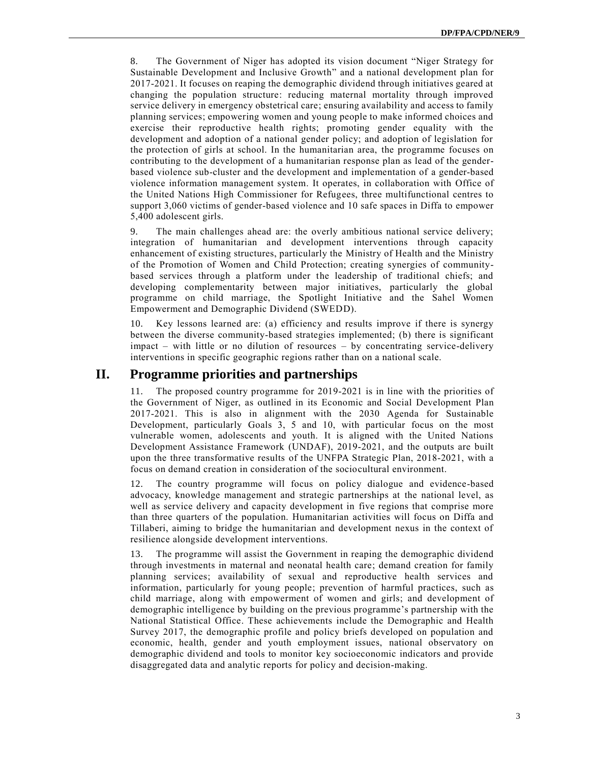8. The Government of Niger has adopted its vision document "Niger Strategy for Sustainable Development and Inclusive Growth" and a national development plan for 2017-2021. It focuses on reaping the demographic dividend through initiatives geared at changing the population structure: reducing maternal mortality through improved service delivery in emergency obstetrical care; ensuring availability and access to family planning services; empowering women and young people to make informed choices and exercise their reproductive health rights; promoting gender equality with the development and adoption of a national gender policy; and adoption of legislation for the protection of girls at school. In the humanitarian area, the programme focuses on contributing to the development of a humanitarian response plan as lead of the genderbased violence sub-cluster and the development and implementation of a gender-based violence information management system. It operates, in collaboration with Office of the United Nations High Commissioner for Refugees, three multifunctional centres to support 3,060 victims of gender-based violence and 10 safe spaces in Diffa to empower 5,400 adolescent girls.

9. The main challenges ahead are: the overly ambitious national service delivery; integration of humanitarian and development interventions through capacity enhancement of existing structures, particularly the Ministry of Health and the Ministry of the Promotion of Women and Child Protection; creating synergies of communitybased services through a platform under the leadership of traditional chiefs; and developing complementarity between major initiatives, particularly the global programme on child marriage, the Spotlight Initiative and the Sahel Women Empowerment and Demographic Dividend (SWEDD).

10. Key lessons learned are: (a) efficiency and results improve if there is synergy between the diverse community-based strategies implemented; (b) there is significant impact – with little or no dilution of resources – by concentrating service-delivery interventions in specific geographic regions rather than on a national scale.

### **II. Programme priorities and partnerships**

11. The proposed country programme for 2019-2021 is in line with the priorities of the Government of Niger, as outlined in its Economic and Social Development Plan 2017-2021. This is also in alignment with the 2030 Agenda for Sustainable Development, particularly Goals 3, 5 and 10, with particular focus on the most vulnerable women, adolescents and youth. It is aligned with the United Nations Development Assistance Framework (UNDAF), 2019-2021, and the outputs are built upon the three transformative results of the UNFPA Strategic Plan, 2018-2021, with a focus on demand creation in consideration of the sociocultural environment.

12. The country programme will focus on policy dialogue and evidence-based advocacy, knowledge management and strategic partnerships at the national level, as well as service delivery and capacity development in five regions that comprise more than three quarters of the population. Humanitarian activities will focus on Diffa and Tillaberi, aiming to bridge the humanitarian and development nexus in the context of resilience alongside development interventions.

13. The programme will assist the Government in reaping the demographic dividend through investments in maternal and neonatal health care; demand creation for family planning services; availability of sexual and reproductive health services and information, particularly for young people; prevention of harmful practices, such as child marriage, along with empowerment of women and girls; and development of demographic intelligence by building on the previous programme's partnership with the National Statistical Office. These achievements include the Demographic and Health Survey 2017, the demographic profile and policy briefs developed on population and economic, health, gender and youth employment issues, national observatory on demographic dividend and tools to monitor key socioeconomic indicators and provide disaggregated data and analytic reports for policy and decision-making.

3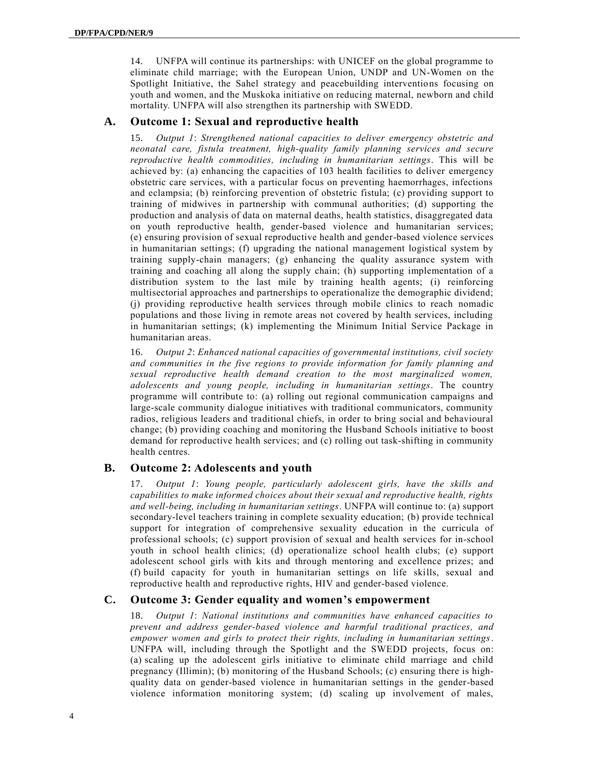14. UNFPA will continue its partnerships: with UNICEF on the global programme to eliminate child marriage; with the European Union, UNDP and UN-Women on the Spotlight Initiative, the Sahel strategy and peacebuilding interventions focusing on youth and women, and the Muskoka initiative on reducing maternal, newborn and child mortality. UNFPA will also strengthen its partnership with SWEDD.

#### **A. Outcome 1: Sexual and reproductive health**

15. *Output 1*: *Strengthened national capacities to deliver emergency obstetric and neonatal care, fistula treatment, high-quality family planning services and secure reproductive health commodities, including in humanitarian settings*. This will be achieved by: (a) enhancing the capacities of 103 health facilities to deliver emergency obstetric care services, with a particular focus on preventing haemorrhages, infections and eclampsia; (b) reinforcing prevention of obstetric fistula; (c) providing support to training of midwives in partnership with communal authorities; (d) supporting the production and analysis of data on maternal deaths, health statistics, disaggregated data on youth reproductive health, gender-based violence and humanitarian services; (e) ensuring provision of sexual reproductive health and gender-based violence services in humanitarian settings; (f) upgrading the national management logistical system by training supply-chain managers; (g) enhancing the quality assurance system with training and coaching all along the supply chain; (h) supporting implementation of a distribution system to the last mile by training health agents; (i) reinforcing multisectorial approaches and partnerships to operationalize the demographic dividend; (j) providing reproductive health services through mobile clinics to reach nomadic populations and those living in remote areas not covered by health services, including in humanitarian settings; (k) implementing the Minimum Initial Service Package in humanitarian areas.

16. *Output 2*: *Enhanced national capacities of governmental institutions, civil society and communities in the five regions to provide information for family planning and sexual reproductive health demand creation to the most marginalized women, adolescents and young people, including in humanitarian settings*. The country programme will contribute to: (a) rolling out regional communication campaigns and large-scale community dialogue initiatives with traditional communicators, community radios, religious leaders and traditional chiefs, in order to bring social and behavioural change; (b) providing coaching and monitoring the Husband Schools initiative to boost demand for reproductive health services; and (c) rolling out task-shifting in community health centres.

#### **B. Outcome 2: Adolescents and youth**

17. *Output 1*: *Young people, particularly adolescent girls, have the skills and capabilities to make informed choices about their sexual and reproductive health, rights and well-being, including in humanitarian settings*. UNFPA will continue to: (a) support secondary-level teachers training in complete sexuality education; (b) provide technical support for integration of comprehensive sexuality education in the curricula of professional schools; (c) support provision of sexual and health services for in-school youth in school health clinics; (d) operationalize school health clubs; (e) support adolescent school girls with kits and through mentoring and excellence prizes; and (f) build capacity for youth in humanitarian settings on life skills, sexual and reproductive health and reproductive rights, HIV and gender-based violence.

### **C. Outcome 3: Gender equality and women's empowerment**

18. *Output 1*: *National institutions and communities have enhanced capacities to prevent and address gender-based violence and harmful traditional practices, and empower women and girls to protect their rights, including in humanitarian settings*. UNFPA will, including through the Spotlight and the SWEDD projects, focus on: (a) scaling up the adolescent girls initiative to eliminate child marriage and child pregnancy (Illimin); (b) monitoring of the Husband Schools; (c) ensuring there is highquality data on gender-based violence in humanitarian settings in the gender-based violence information monitoring system; (d) scaling up involvement of males,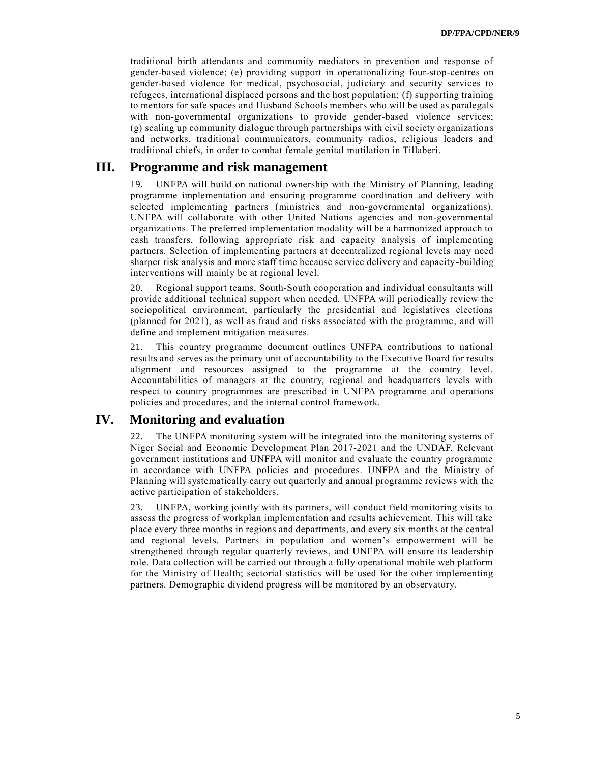traditional birth attendants and community mediators in prevention and response of gender-based violence; (e) providing support in operationalizing four-stop-centres on gender-based violence for medical, psychosocial, judiciary and security services to refugees, international displaced persons and the host population; (f) supporting training to mentors for safe spaces and Husband Schools members who will be used as paralegals with non-governmental organizations to provide gender-based violence services; (g) scaling up community dialogue through partnerships with civil society organization s and networks, traditional communicators, community radios, religious leaders and traditional chiefs, in order to combat female genital mutilation in Tillaberi.

### **III. Programme and risk management**

19. UNFPA will build on national ownership with the Ministry of Planning, leading programme implementation and ensuring programme coordination and delivery with selected implementing partners (ministries and non-governmental organizations). UNFPA will collaborate with other United Nations agencies and non-governmental organizations. The preferred implementation modality will be a harmonized approach to cash transfers, following appropriate risk and capacity analysis of implementing partners. Selection of implementing partners at decentralized regional levels may need sharper risk analysis and more staff time because service delivery and capacity-building interventions will mainly be at regional level.

20. Regional support teams, South-South cooperation and individual consultants will provide additional technical support when needed. UNFPA will periodically review the sociopolitical environment, particularly the presidential and legislatives elections (planned for 2021), as well as fraud and risks associated with the programme, and will define and implement mitigation measures.

21. This country programme document outlines UNFPA contributions to national results and serves as the primary unit of accountability to the Executive Board for results alignment and resources assigned to the programme at the country level. Accountabilities of managers at the country, regional and headquarters levels with respect to country programmes are prescribed in UNFPA programme and operations policies and procedures, and the internal control framework.

## **IV. Monitoring and evaluation**

22. The UNFPA monitoring system will be integrated into the monitoring systems of Niger Social and Economic Development Plan 2017-2021 and the UNDAF. Relevant government institutions and UNFPA will monitor and evaluate the country programme in accordance with UNFPA policies and procedures. UNFPA and the Ministry of Planning will systematically carry out quarterly and annual programme reviews with the active participation of stakeholders.

23. UNFPA, working jointly with its partners, will conduct field monitoring visits to assess the progress of workplan implementation and results achievement. This will take place every three months in regions and departments, and every six months at the central and regional levels. Partners in population and women's empowerment will be strengthened through regular quarterly reviews, and UNFPA will ensure its leadership role. Data collection will be carried out through a fully operational mobile web platform for the Ministry of Health; sectorial statistics will be used for the other implementing partners. Demographic dividend progress will be monitored by an observatory.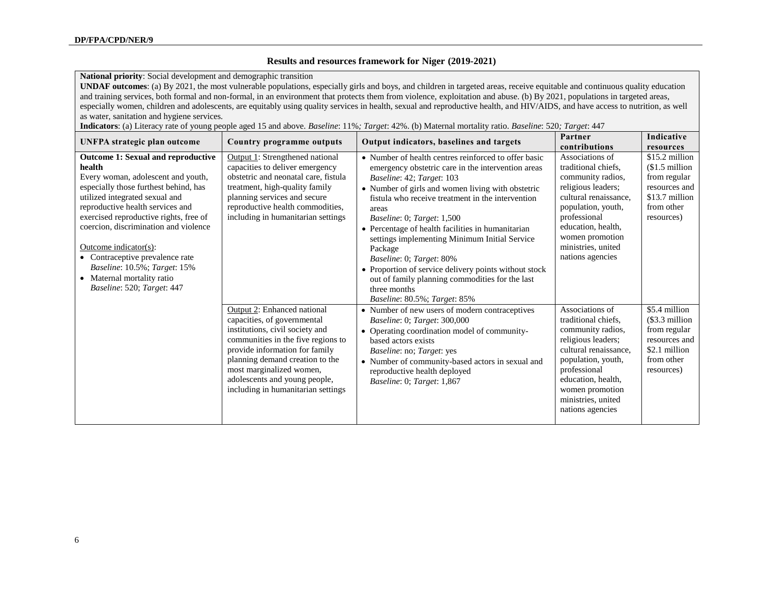#### **Results and resources framework for Niger (2019-2021)**

**National priority**: Social development and demographic transition

**UNDAF outcomes**: (a) By 2021, the most vulnerable populations, especially girls and boys, and children in targeted areas, receive equitable and continuous quality education and training services, both formal and non-formal, in an environment that protects them from violence, exploitation and abuse. (b) By 2021, populations in targeted areas, especially women, children and adolescents, are equitably using quality services in health, sexual and reproductive health, and HIV/AIDS, and have access to nutrition, as well as water, sanitation and hygiene services*.*

**Indicators**: (a) Literacy rate of young people aged 15 and above. *Baseline*: 11%*; Target*: 42%. (b) Maternal mortality ratio. *Baseline*: 520*; Target*: 447

| UNFPA strategic plan outcome                                                                                                                                                                                                                                                                                                                                                                                                                                        | Country programme outputs                                                                                                                                                                                                                                                                                   | Output indicators, baselines and targets                                                                                                                                                                                                                                                                                                                                                                                                                                                                                                                                                                 | Partner<br>contributions                                                                                                                                                                                                            | Indicative<br>resources                                                                                         |
|---------------------------------------------------------------------------------------------------------------------------------------------------------------------------------------------------------------------------------------------------------------------------------------------------------------------------------------------------------------------------------------------------------------------------------------------------------------------|-------------------------------------------------------------------------------------------------------------------------------------------------------------------------------------------------------------------------------------------------------------------------------------------------------------|----------------------------------------------------------------------------------------------------------------------------------------------------------------------------------------------------------------------------------------------------------------------------------------------------------------------------------------------------------------------------------------------------------------------------------------------------------------------------------------------------------------------------------------------------------------------------------------------------------|-------------------------------------------------------------------------------------------------------------------------------------------------------------------------------------------------------------------------------------|-----------------------------------------------------------------------------------------------------------------|
| <b>Outcome 1: Sexual and reproductive</b><br>health<br>Every woman, adolescent and youth,<br>especially those furthest behind, has<br>utilized integrated sexual and<br>reproductive health services and<br>exercised reproductive rights, free of<br>coercion, discrimination and violence<br>Outcome indicator(s):<br>• Contraceptive prevalence rate<br><i>Baseline</i> : 10.5%; <i>Target</i> : 15%<br>• Maternal mortality ratio<br>Baseline: 520; Target: 447 | Output 1: Strengthened national<br>capacities to deliver emergency<br>obstetric and neonatal care, fistula<br>treatment, high-quality family<br>planning services and secure<br>reproductive health commodities,<br>including in humanitarian settings                                                      | • Number of health centres reinforced to offer basic<br>emergency obstetric care in the intervention areas<br>Baseline: 42; Target: 103<br>• Number of girls and women living with obstetric<br>fistula who receive treatment in the intervention<br>areas<br>Baseline: 0; Target: 1,500<br>• Percentage of health facilities in humanitarian<br>settings implementing Minimum Initial Service<br>Package<br>Baseline: 0; Target: 80%<br>• Proportion of service delivery points without stock<br>out of family planning commodities for the last<br>three months<br><i>Baseline:</i> 80.5%; Target: 85% | Associations of<br>traditional chiefs,<br>community radios,<br>religious leaders;<br>cultural renaissance,<br>population, youth,<br>professional<br>education, health,<br>women promotion<br>ministries, united<br>nations agencies | \$15.2 million<br>$$1.5$ million<br>from regular<br>resources and<br>\$13.7 million<br>from other<br>resources) |
|                                                                                                                                                                                                                                                                                                                                                                                                                                                                     | Output 2: Enhanced national<br>capacities, of governmental<br>institutions, civil society and<br>communities in the five regions to<br>provide information for family<br>planning demand creation to the<br>most marginalized women,<br>adolescents and young people,<br>including in humanitarian settings | • Number of new users of modern contraceptives<br><i>Baseline: 0; Target: 300,000</i><br>• Operating coordination model of community-<br>based actors exists<br>Baseline: no; Target: yes<br>• Number of community-based actors in sexual and<br>reproductive health deployed<br>Baseline: 0; Target: 1,867                                                                                                                                                                                                                                                                                              | Associations of<br>traditional chiefs,<br>community radios,<br>religious leaders;<br>cultural renaissance,<br>population, youth,<br>professional<br>education, health,<br>women promotion<br>ministries, united<br>nations agencies | \$5.4 million<br>(\$3.3 million<br>from regular<br>resources and<br>\$2.1 million<br>from other<br>resources)   |